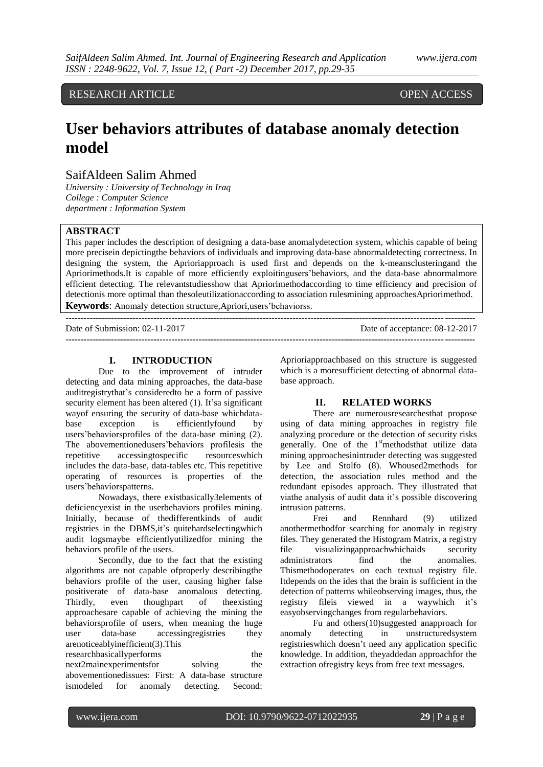# RESEARCH ARTICLE OPEN ACCESS

# **User behaviors attributes of database anomaly detection model**

# SaifAldeen Salim Ahmed

*University : University of Technology in Iraq College : Computer Science department : Information System*

# **ABSTRACT**

This paper includes the description of designing a data-base anomalydetection system, whichis capable of being more precisein depictingthe behaviors of individuals and improving data-base abnormaldetecting correctness. In designing the system, the Aprioriapproach is used first and depends on the k-meansclusteringand the Apriorimethods.It is capable of more efficiently exploitingusers'behaviors, and the data-base abnormalmore efficient detecting. The relevantstudiesshow that Apriorimethodaccording to time efficiency and precision of detectionis more optimal than thesoleutilizationaccording to association rulesmining approachesApriorimethod. **Keywords**: Anomaly detection structure,Apriori,users'behaviorss.

**---------------------------------------------------------------------------------------------------------------------------------------**

Date of Submission: 02-11-2017 Date of acceptance: 08-12-2017

**---------------------------------------------------------------------------------------------------------------------------------------**

#### **I. INTRODUCTION**

Due to the improvement of intruder detecting and data mining approaches, the data-base auditregistrythat's consideredto be a form of passive security element has been altered (1). It's a significant wayof ensuring the security of data-base whichdatabase exception is efficientlyfound by users'behaviorsprofiles of the data-base mining (2). The abovementionedusers'behaviors profilesis the repetitive accessingtospecific resourceswhich includes the data-base, data-tables etc. This repetitive operating of resources is properties of the users'behaviorspatterns.

Nowadays, there existbasically3elements of deficiencyexist in the userbehaviors profiles mining. Initially, because of thedifferentkinds of audit registries in the DBMS,it's quitehardselectingwhich audit logsmaybe efficientlyutilizedfor mining the behaviors profile of the users.

Secondly, due to the fact that the existing algorithms are not capable ofproperly describingthe behaviors profile of the user, causing higher false positiverate of data-base anomalous detecting. Thirdly, even thoughpart of theexisting approachesare capable of achieving the mining the behaviorsprofile of users, when meaning the huge user data-base accessingregistries they arenoticeablyinefficient(3).This

researchbasicallyperforms the next2mainexperimentsfor solving the abovementionedissues: First: A data-base structure ismodeled for anomaly detecting. Second:

Aprioriapproachbased on this structure is suggested which is a moresufficient detecting of abnormal database approach.

#### **II. RELATED WORKS**

There are numerousresearchesthat propose using of data mining approaches in registry file analyzing procedure or the detection of security risks generally. One of the 1<sup>st</sup>methodsthat utilize data mining approachesinintruder detecting was suggested by Lee and Stolfo (8). Whoused2methods for detection, the association rules method and the redundant episodes approach. They illustrated that viathe analysis of audit data it's possible discovering intrusion patterns.

Frei and Rennhard (9) utilized anothermethodfor searching for anomaly in registry files. They generated the Histogram Matrix, a registry file visualizingapproachwhichaids security administrators find the anomalies. Thismethodoperates on each textual registry file. Itdepends on the ides that the brain is sufficient in the detection of patterns whileobserving images, thus, the registry fileis viewed in a waywhich it's easyobservingchanges from regularbehaviors.

Fu and others(10)suggested anapproach for anomaly detecting in unstructuredsystem registrieswhich doesn't need any application specific knowledge. In addition, theyaddedan approachfor the extraction ofregistry keys from free text messages.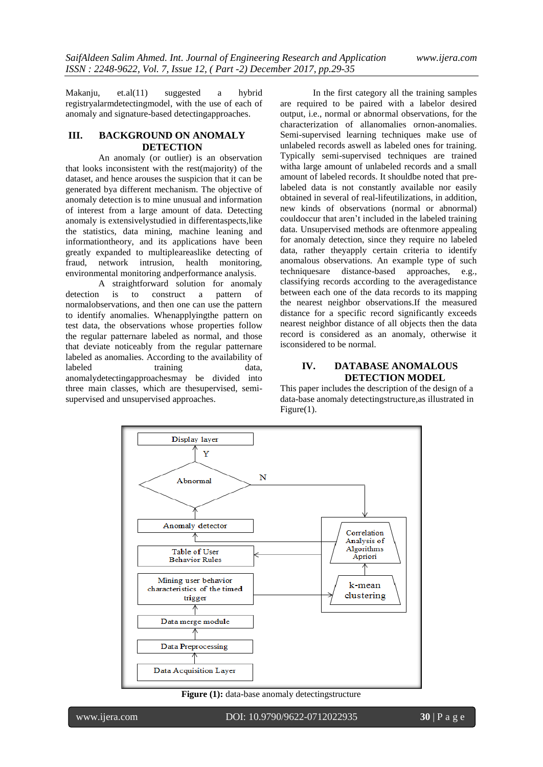Makanju, et.al(11) suggested a hybrid registryalarmdetectingmodel, with the use of each of anomaly and signature-based detectingapproaches.

#### **III. BACKGROUND ON ANOMALY DETECTION**

An anomaly (or outlier) is an observation that looks inconsistent with the rest(majority) of the dataset, and hence arouses the suspicion that it can be generated bya different mechanism. The objective of anomaly detection is to mine unusual and information of interest from a large amount of data. Detecting anomaly is extensivelystudied in differentaspects,like the statistics, data mining, machine leaning and informationtheory, and its applications have been greatly expanded to multipleareaslike detecting of fraud, network intrusion, health monitoring, environmental monitoring andperformance analysis.

A straightforward solution for anomaly detection is to construct a pattern of normalobservations, and then one can use the pattern to identify anomalies. Whenapplyingthe pattern on test data, the observations whose properties follow the regular patternare labeled as normal, and those that deviate noticeably from the regular patternare labeled as anomalies. According to the availability of labeled training data, anomalydetectingapproachesmay be divided into three main classes, which are thesupervised, semisupervised and unsupervised approaches.

In the first category all the training samples are required to be paired with a labelor desired output, i.e., normal or abnormal observations, for the characterization of allanomalies ornon-anomalies. Semi-supervised learning techniques make use of unlabeled records aswell as labeled ones for training. Typically semi-supervised techniques are trained witha large amount of unlabeled records and a small amount of labeled records. It shouldbe noted that prelabeled data is not constantly available nor easily obtained in several of real-lifeutilizations, in addition, new kinds of observations (normal or abnormal) couldoccur that aren't included in the labeled training data. Unsupervised methods are oftenmore appealing for anomaly detection, since they require no labeled data, rather theyapply certain criteria to identify anomalous observations. An example type of such techniquesare distance-based approaches, e.g., classifying records according to the averagedistance between each one of the data records to its mapping the nearest neighbor observations.If the measured distance for a specific record significantly exceeds nearest neighbor distance of all objects then the data record is considered as an anomaly, otherwise it isconsidered to be normal.

# **IV. DATABASE ANOMALOUS DETECTION MODEL**

This paper includes the description of the design of a data-base anomaly detectingstructure,as illustrated in Figure(1).



**Figure (1):** data-base anomaly detectingstructure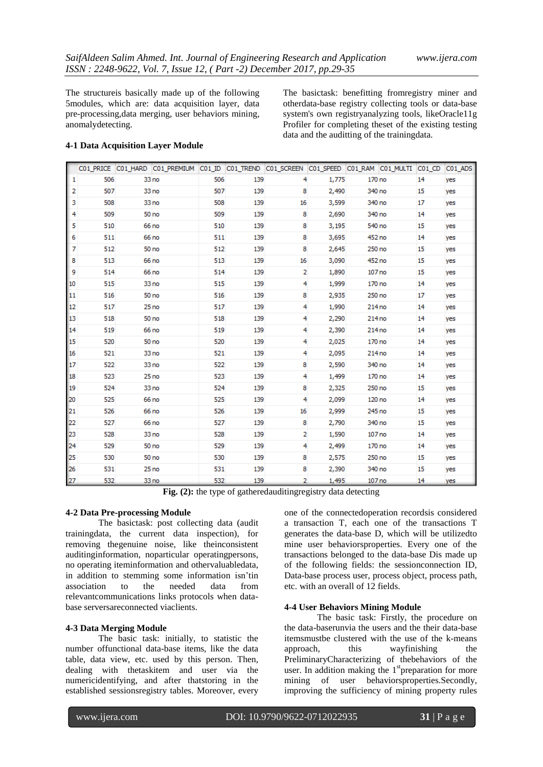The structureis basically made up of the following 5modules, which are: data acquisition layer, data pre-processing,data merging, user behaviors mining, anomalydetecting.

The basictask: benefitting fromregistry miner and otherdata-base registry collecting tools or data-base system's own registryanalyzing tools, likeOracle11g Profiler for completing theset of the existing testing data and the auditting of the trainingdata.

#### **4-1 Data Acquisition Layer Module**

|               |     |       | C01_PRICE C01_HARD C01_PREMIUM C01_ID C01_TREND C01_SCREEN C01_SPEED C01_RAM C01_MULTI C01_CD |     |     |    |       |        |    | CO1_ADS |
|---------------|-----|-------|-----------------------------------------------------------------------------------------------|-----|-----|----|-------|--------|----|---------|
| 1             | 506 |       | 33 no                                                                                         | 506 | 139 | 4  | 1,775 | 170 no | 14 | yes     |
| 2             | 507 |       | 33 no                                                                                         | 507 | 139 | 8  | 2,490 | 340 no | 15 | yes     |
| 3             | 508 |       | 33 <sub>no</sub>                                                                              | 508 | 139 | 16 | 3,599 | 340 no | 17 | yes     |
| 4             | 509 |       | 50 <sub>no</sub>                                                                              | 509 | 139 | 8  | 2,690 | 340 no | 14 | yes     |
| 5             | 510 | 66 no |                                                                                               | 510 | 139 | 8  | 3,195 | 540 no | 15 | yes     |
| 6             | 511 | 66 no |                                                                                               | 511 | 139 | 8  | 3,695 | 452 no | 14 | yes     |
| 7             | 512 |       | 50 <sub>no</sub>                                                                              | 512 | 139 | 8  | 2,645 | 250 no | 15 | yes     |
| 8             | 513 | 66 no |                                                                                               | 513 | 139 | 16 | 3,090 | 452 no | 15 | yes     |
| 9             | 514 |       | 66 no                                                                                         | 514 | 139 | 2  | 1,890 | 107 no | 15 | yes     |
| 10            | 515 |       | 33 <sub>no</sub>                                                                              | 515 | 139 | 4  | 1,999 | 170 no | 14 | yes     |
| 11            | 516 |       | 50 <sub>no</sub>                                                                              | 516 | 139 | 8  | 2,935 | 250 no | 17 | yes     |
| 12            | 517 |       | 25 <sub>no</sub>                                                                              | 517 | 139 | 4  | 1,990 | 214 no | 14 | yes     |
| <sup>13</sup> | 518 |       | 50 no                                                                                         | 518 | 139 | 4  | 2,290 | 214 no | 14 | yes     |
| 14            | 519 |       | 66 no                                                                                         | 519 | 139 | 4  | 2,390 | 214 no | 14 | yes     |
| 15            | 520 |       | 50 <sub>no</sub>                                                                              | 520 | 139 | 4  | 2,025 | 170 no | 14 | yes     |
| 16            | 521 |       | 33 <sub>no</sub>                                                                              | 521 | 139 | 4  | 2,095 | 214 no | 14 | yes     |
| 17            | 522 |       | 33 <sub>no</sub>                                                                              | 522 | 139 | 8  | 2,590 | 340 no | 14 | yes     |
| 18            | 523 |       | 25 <sub>no</sub>                                                                              | 523 | 139 | 4  | 1,499 | 170 no | 14 | yes     |
| $ 19\rangle$  | 524 |       | 33 <sub>no</sub>                                                                              | 524 | 139 | 8  | 2,325 | 250 no | 15 | yes     |
| 20            | 525 | 66 no |                                                                                               | 525 | 139 | 4  | 2,099 | 120 no | 14 | yes     |
| 21            | 526 |       | 66 no                                                                                         | 526 | 139 | 16 | 2,999 | 245 no | 15 | yes     |
| 22            | 527 |       | 66 no                                                                                         | 527 | 139 | 8  | 2,790 | 340 no | 15 | yes     |
| 23            | 528 |       | 33 no                                                                                         | 528 | 139 | 2  | 1,590 | 107 no | 14 | yes     |
| 24            | 529 |       | 50 <sub>no</sub>                                                                              | 529 | 139 | 4  | 2,499 | 170 no | 14 | yes     |
| 25            | 530 |       | 50 <sub>no</sub>                                                                              | 530 | 139 | 8  | 2,575 | 250 no | 15 | yes     |
| 26            | 531 |       | 25 <sub>no</sub>                                                                              | 531 | 139 | 8  | 2,390 | 340 no | 15 | yes     |
| 27            | 532 |       | 33 no                                                                                         | 532 | 139 | 2. | 1,495 | 107 no | 14 | yes     |

**Fig. (2):** the type of gatheredauditingregistry data detecting

#### **4-2 Data Pre-processing Module**

The basictask: post collecting data (audit trainingdata, the current data inspection), for removing thegenuine noise, like theinconsistent auditinginformation, noparticular operatingpersons, no operating iteminformation and othervaluabledata, in addition to stemming some information isn'tin<br>association to the needed data from association to the needed data from relevantcommunications links protocols when database serversareconnected viaclients.

#### **4-3 Data Merging Module**

The basic task: initially, to statistic the number offunctional data-base items, like the data table, data view, etc. used by this person. Then, dealing with thetaskitem and user via the numericidentifying, and after thatstoring in the established sessionsregistry tables. Moreover, every one of the connectedoperation recordsis considered a transaction T, each one of the transactions T generates the data-base D, which will be utilizedto mine user behaviorsproperties. Every one of the transactions belonged to the data-base Dis made up of the following fields: the sessionconnection ID, Data-base process user, process object, process path, etc. with an overall of 12 fields.

#### **4-4 User Behaviors Mining Module**

The basic task: Firstly, the procedure on the data-baserunvia the users and the their data-base itemsmustbe clustered with the use of the k-means approach, this wayfinishing the PreliminaryCharacterizing of thebehaviors of the user. In addition making the  $1<sup>st</sup>$ preparation for more mining of user behaviorsproperties.Secondly, improving the sufficiency of mining property rules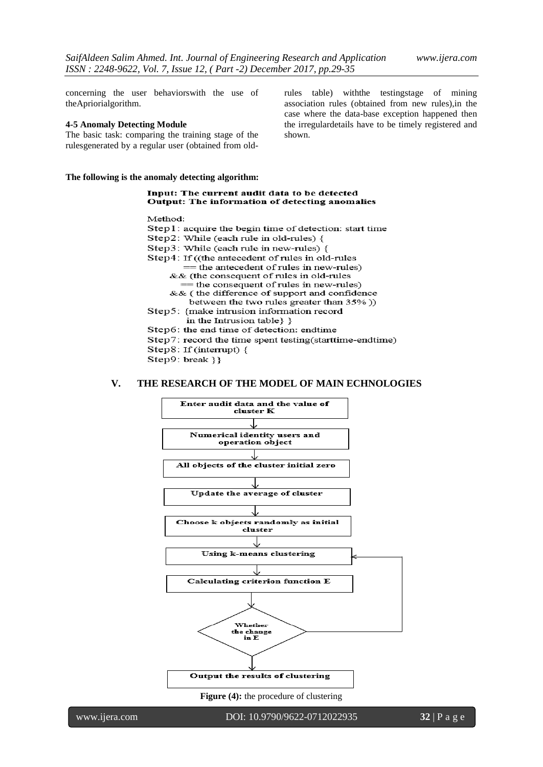concerning the user behaviorswith the use of theApriorialgorithm.

#### **4-5 Anomaly Detecting Module**

The basic task: comparing the training stage of the rulesgenerated by a regular user (obtained from old-

**The following is the anomaly detecting algorithm:**

rules table) withthe testingstage of mining association rules (obtained from new rules),in the case where the data-base exception happened then the irregulardetails have to be timely registered and shown.

#### Input: The current audit data to be detected Output: The information of detecting anomalies

Method<sup>.</sup>

Step1: acquire the begin time of detection: start time Step2: While (each rule in old-rules) { Step3: While (each rule in new-rules) { Step4: If ((the antecedent of rules in old-rules  $=$  the antecedent of rules in new-rules) && (the consequent of rules in old-rules the consequent of rules in new-rules) && (the difference of support and confidence between the two rules greater than 35%)) Step5: {make intrusion information record in the Intrusion table } } Step6: the end time of detection: endtime Step7: record the time spent testing(starttime-endtime) Step8: If (interrupt) { Step9: break } }

#### **V. THE RESEARCH OF THE MODEL OF MAIN ECHNOLOGIES**



**Figure (4):** the procedure of clustering

www.ijera.com DOI: 10.9790/9622-0712022935 **32** | P a g e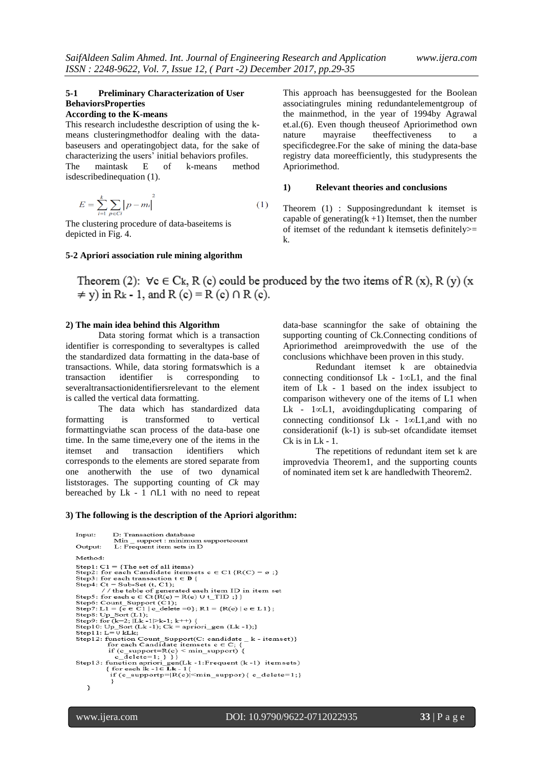# **5-1 Preliminary Characterization of User BehaviorsProperties**

#### **According to the K-means**

This research includesthe description of using the kmeans clusteringmethodfor dealing with the databaseusers and operatingobject data, for the sake of characterizing the users' initial behaviors profiles. The maintask E of k-means method isdescribedinequation (1).

$$
E = \sum_{i=1}^{k} \sum_{p \in CI} |p - m_i|^2
$$
 (1)

The clustering procedure of data-baseitems is depicted in Fig. 4.

#### **5-2 Apriori association rule mining algorithm**

This approach has beensuggested for the Boolean associatingrules mining redundantelementgroup of the mainmethod, in the year of 1994by Agrawal et.al.(6). Even though theuseof Apriorimethod own nature mayraise theeffectiveness to a specificdegree.For the sake of mining the data-base registry data moreefficiently, this studypresents the Apriorimethod.

## **1) Relevant theories and conclusions**

Theorem (1) : Supposingredundant k itemset is capable of generating $(k + 1)$  Itemset, then the number of itemset of the redundant k itemsetis definitely>= k.

Theorem (2):  $\forall c \in C_k$ , R (c) could be produced by the two items of R (x), R (y) (x  $\neq$  y) in R<sub>k</sub> - 1, and R (c) = R (c)  $\cap$  R (c).

#### **2) The main idea behind this Algorithm**

Data storing format which is a transaction identifier is corresponding to severaltypes is called the standardized data formatting in the data-base of transactions. While, data storing formatswhich is a transaction identifier is corresponding to severaltransactionidentifiersrelevant to the element is called the vertical data formatting.

The data which has standardized data formatting is transformed to vertical formattingviathe scan process of the data-base one time. In the same time,every one of the items in the itemset and transaction identifiers which corresponds to the elements are stored separate from one anotherwith the use of two dynamical liststorages. The supporting counting of *Ck* may bereached by Lk - 1 ∩L1 with no need to repeat data-base scanningfor the sake of obtaining the supporting counting of Ck.Connecting conditions of Apriorimethod areimprovedwith the use of the conclusions whichhave been proven in this study.

Redundant itemset k are obtainedvia connecting conditionsof Lk - 1*∞*L1, and the final item of Lk - 1 based on the index issubject to comparison withevery one of the items of L1 when Lk - 1*∞*L1, avoidingduplicating comparing of connecting conditionsof Lk - 1*∞*L1,and with no considerationif (k-1) is sub-set ofcandidate itemset Ck is in Lk - 1.

The repetitions of redundant item set k are improvedvia Theorem1, and the supporting counts of nominated item set k are handledwith Theorem2.

#### **3) The following is the description of the Apriori algorithm:**

```
Input:
                            D: Transaction database
                            Min _ support : minimum supportcount<br>L: Frequent item sets in D
 Output:
 Method<sup>1</sup>
Step1: C1 = {The set of all items)<br>Step2: for each Candidate itemsets c \in C1 {R(C) = \varnothing ;}<br>Step3: for each transaction t \in D {
 Step4: Ct = Sub-Set (t, C1);
Step4: Ct = Sub-Set (t, C1);<br>
\frac{1}{\pi} the table of generated each item ID in item set<br>
\frac{1}{\pi} the table of generated each item ID in item set<br>
Step5: for each c \in Ct{R(c) = R(c) U t_TID ;}}<br>
Step6: Count_Support 
or each candata itemsets c e C; {<br>if (e_support=R(e) < min_support) {<br>c_delete=1; } }}<br>Step13: function apriori_gen(Lk -1:Frequent (k -1) itemsets)<br>{for each lk -1\inLk -1{<br>if (e_supportp=|R(e)|<min_suppor) { c_delete=1;
         ì
```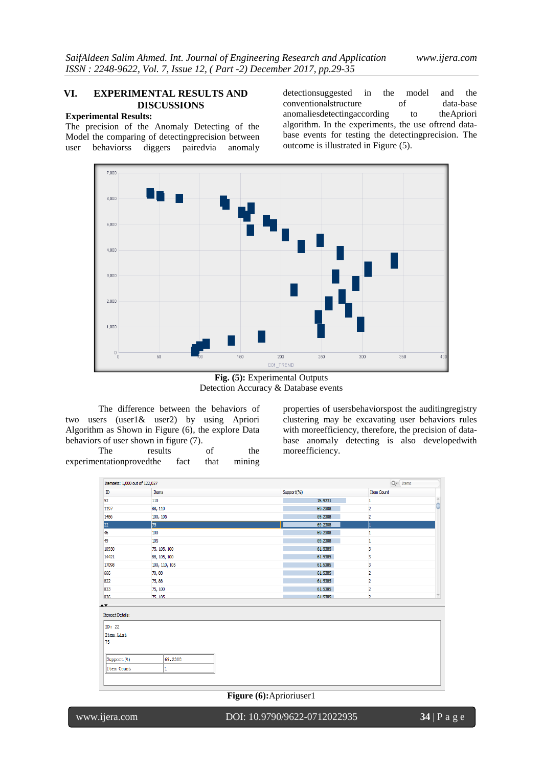# **VI. EXPERIMENTAL RESULTS AND DISCUSSIONS**

# **Experimental Results:**

The precision of the Anomaly Detecting of the Model the comparing of detectingprecision between user behaviorss diggers pairedvia anomaly

detectionsuggested in the model and the conventional structure of data-base conventionalstructure of data-base anomaliesdetectingaccording to theApriori algorithm. In the experiments, the use oftrend database events for testing the detectingprecision. The outcome is illustrated in Figure (5).



**Fig. (5):** Experimental Outputs Detection Accuracy & Database events

The difference between the behaviors of two users (user1& user2) by using Apriori Algorithm as Shown in Figure (6), the explore Data behaviors of user shown in figure (7).

The results of the experimentationprovedthe fact that mining properties of usersbehaviorspost the auditingregistry clustering may be excavating user behaviors rules with moreefficiency, therefore, the precision of database anomaly detecting is also developedwith moreefficiency.

| 110<br>88, 110<br>100, 105 |                                                                                                    | 76.9231 |                         |              |
|----------------------------|----------------------------------------------------------------------------------------------------|---------|-------------------------|--------------|
|                            |                                                                                                    |         | 1                       | ÷            |
|                            |                                                                                                    | 69.2308 | 2                       |              |
|                            |                                                                                                    | 69.2308 | $\overline{\mathbf{2}}$ |              |
| 75                         |                                                                                                    | 69.2308 | 1                       |              |
|                            |                                                                                                    | 69.2308 | 1                       |              |
|                            |                                                                                                    | 69.2308 | 1                       |              |
|                            |                                                                                                    | 61.5385 | 3                       |              |
|                            |                                                                                                    | 61.5385 | 3                       |              |
|                            |                                                                                                    | 61.5385 | 3                       |              |
|                            |                                                                                                    | 61.5385 | $\overline{2}$          |              |
|                            |                                                                                                    | 61.5385 | $\overline{2}$          |              |
|                            |                                                                                                    | 61.5385 | 2                       |              |
|                            |                                                                                                    | 61.5385 | $\overline{2}$          | $\mathbf{v}$ |
|                            | 100<br>105<br>75, 105, 100<br>88, 105, 100<br>100, 110, 105<br>70,88<br>75,88<br>75, 100<br>75.105 |         |                         |              |

## **Figure (6):**Aprioriuser1